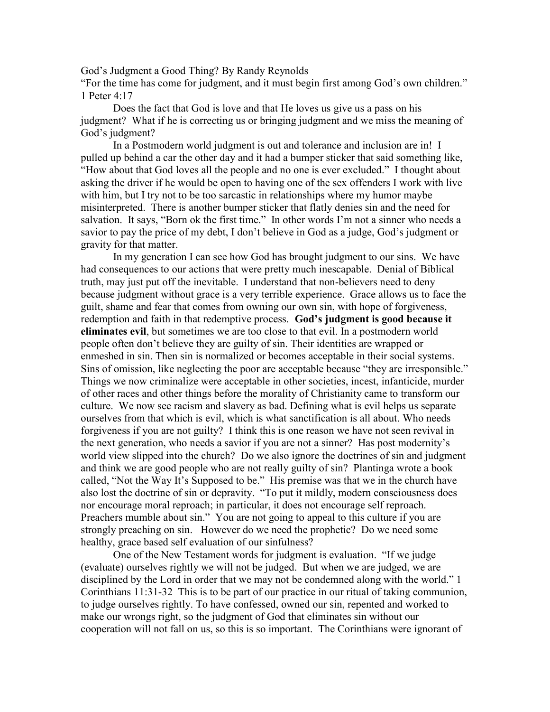God's Judgment a Good Thing? By Randy Reynolds

"For the time has come for judgment, and it must begin first among God's own children." 1 Peter 4:17

Does the fact that God is love and that He loves us give us a pass on his judgment? What if he is correcting us or bringing judgment and we miss the meaning of God's judgment?

In a Postmodern world judgment is out and tolerance and inclusion are in! I pulled up behind a car the other day and it had a bumper sticker that said something like, "How about that God loves all the people and no one is ever excluded." I thought about asking the driver if he would be open to having one of the sex offenders I work with live with him, but I try not to be too sarcastic in relationships where my humor maybe misinterpreted. There is another bumper sticker that flatly denies sin and the need for salvation. It says, "Born ok the first time." In other words I'm not a sinner who needs a savior to pay the price of my debt, I don't believe in God as a judge, God's judgment or gravity for that matter.

In my generation I can see how God has brought judgment to our sins. We have had consequences to our actions that were pretty much inescapable. Denial of Biblical truth, may just put off the inevitable. I understand that non-believers need to deny because judgment without grace is a very terrible experience. Grace allows us to face the guilt, shame and fear that comes from owning our own sin, with hope of forgiveness, redemption and faith in that redemptive process. God's judgment is good because it eliminates evil, but sometimes we are too close to that evil. In a postmodern world people often don't believe they are guilty of sin. Their identities are wrapped or enmeshed in sin. Then sin is normalized or becomes acceptable in their social systems. Sins of omission, like neglecting the poor are acceptable because "they are irresponsible." Things we now criminalize were acceptable in other societies, incest, infanticide, murder of other races and other things before the morality of Christianity came to transform our culture. We now see racism and slavery as bad. Defining what is evil helps us separate ourselves from that which is evil, which is what sanctification is all about. Who needs forgiveness if you are not guilty? I think this is one reason we have not seen revival in the next generation, who needs a savior if you are not a sinner? Has post modernity's world view slipped into the church? Do we also ignore the doctrines of sin and judgment and think we are good people who are not really guilty of sin? Plantinga wrote a book called, "Not the Way It's Supposed to be." His premise was that we in the church have also lost the doctrine of sin or depravity. "To put it mildly, modern consciousness does nor encourage moral reproach; in particular, it does not encourage self reproach. Preachers mumble about sin." You are not going to appeal to this culture if you are strongly preaching on sin. However do we need the prophetic? Do we need some healthy, grace based self evaluation of our sinfulness?

One of the New Testament words for judgment is evaluation. "If we judge (evaluate) ourselves rightly we will not be judged. But when we are judged, we are disciplined by the Lord in order that we may not be condemned along with the world." 1 Corinthians 11:31-32 This is to be part of our practice in our ritual of taking communion, to judge ourselves rightly. To have confessed, owned our sin, repented and worked to make our wrongs right, so the judgment of God that eliminates sin without our cooperation will not fall on us, so this is so important. The Corinthians were ignorant of